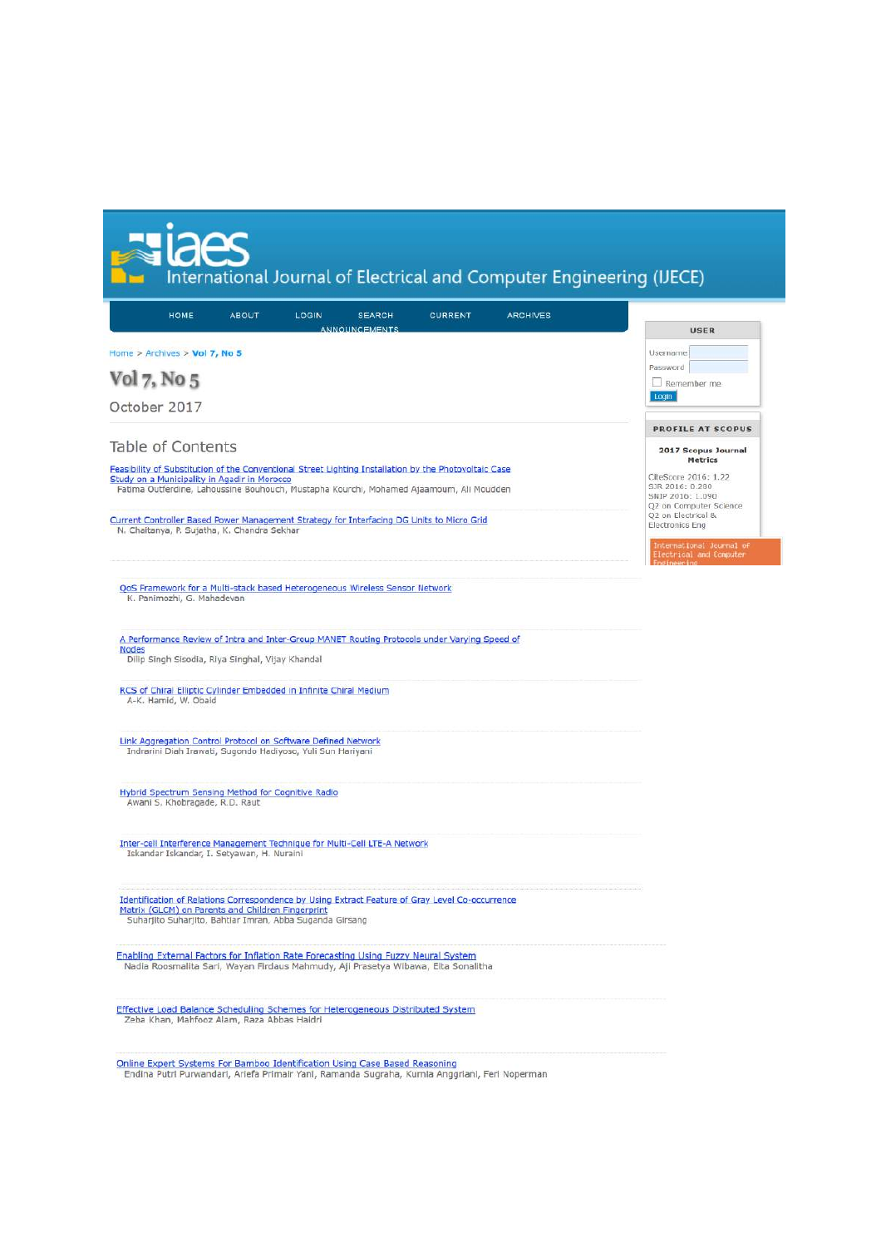| $\mathbb{C}$<br>٠ | Ш<br><b>D</b>   |  |
|-------------------|-----------------|--|
|                   | <b>Contract</b> |  |

International Journal of Electrical and Computer Engineering (IJECE)

| <b>HOME</b>                                                                                                                                           | <b>ABOUT</b> | LOGIN | <b>SEARCH</b>        | <b>CURRENT</b> | <b>ARCHIVES</b> |                                              |
|-------------------------------------------------------------------------------------------------------------------------------------------------------|--------------|-------|----------------------|----------------|-----------------|----------------------------------------------|
|                                                                                                                                                       |              |       | <b>ANNOUNCEMENTS</b> |                |                 | USER                                         |
| Home > Archives > Vol 7, No 5                                                                                                                         |              |       |                      |                |                 | Username                                     |
|                                                                                                                                                       |              |       |                      |                |                 | Password                                     |
| Vol 7, No 5                                                                                                                                           |              |       |                      |                |                 | Remember me                                  |
| October 2017                                                                                                                                          |              |       |                      |                |                 | Login                                        |
|                                                                                                                                                       |              |       |                      |                |                 | <b>PROFILE AT SCOPUS</b>                     |
| Table of Contents                                                                                                                                     |              |       |                      |                |                 | 2017 Scopus Journal                          |
|                                                                                                                                                       |              |       |                      |                |                 | <b>Metrics</b>                               |
| Feasibility of Substitution of the Conventional Street Lighting Installation by the Photovoltaic Case<br>Study on a Municipality in Agadir in Morocco |              |       |                      |                |                 | CiteScore 2016: 1.22                         |
| Fatima Outferdine, Lahoussine Bouhouch, Mustapha Kourchi, Mohamed Ajaamoum, Ali Moudden                                                               |              |       |                      |                |                 | SJR 2016: 0.280<br>SNIP 2016: 1.090          |
|                                                                                                                                                       |              |       |                      |                |                 | Q2 on Computer Science<br>Q2 on Electrical & |
| Current Controller Based Power Management Strategy for Interfacing DG Units to Micro Grid<br>N. Chaitanya, P. Sujatha, K. Chandra Sekhar              |              |       |                      |                |                 | Electronics Eng                              |
|                                                                                                                                                       |              |       |                      |                |                 | International Journal of                     |
|                                                                                                                                                       |              |       |                      |                |                 | Electrical and Computer                      |
|                                                                                                                                                       |              |       |                      |                |                 |                                              |
| OoS Framework for a Multi-stack based Heterogeneous Wireless Sensor Network<br>K. Panimozhi, G. Mahadevan                                             |              |       |                      |                |                 |                                              |
|                                                                                                                                                       |              |       |                      |                |                 |                                              |
|                                                                                                                                                       |              |       |                      |                |                 |                                              |
| A Performance Review of Intra and Inter-Group MANET Routing Protocols under Varying Speed of<br><b>Nodes</b>                                          |              |       |                      |                |                 |                                              |
| Dilip Singh Sisodia, Riya Singhal, Vijay Khandal                                                                                                      |              |       |                      |                |                 |                                              |
|                                                                                                                                                       |              |       |                      |                |                 |                                              |
| RCS of Chiral Elliptic Cylinder Embedded in Infinite Chiral Medium<br>A-K. Hamid, W. Obaid                                                            |              |       |                      |                |                 |                                              |
|                                                                                                                                                       |              |       |                      |                |                 |                                              |
|                                                                                                                                                       |              |       |                      |                |                 |                                              |
| Link Aggregation Control Protocol on Software Defined Network<br>Indrarini Diah Irawati, Sugondo Hadiyoso, Yuli Sun Hariyani                          |              |       |                      |                |                 |                                              |
|                                                                                                                                                       |              |       |                      |                |                 |                                              |
|                                                                                                                                                       |              |       |                      |                |                 |                                              |
| Hybrid Spectrum Sensing Method for Cognitive Radio<br>Awani S. Khobragade, R.D. Raut                                                                  |              |       |                      |                |                 |                                              |
|                                                                                                                                                       |              |       |                      |                |                 |                                              |
|                                                                                                                                                       |              |       |                      |                |                 |                                              |
| Inter-cell Interference Management Technique for Multi-Cell LTE-A Network<br>Iskandar Iskandar, I. Setyawan, H. Nuraini                               |              |       |                      |                |                 |                                              |
|                                                                                                                                                       |              |       |                      |                |                 |                                              |
|                                                                                                                                                       |              |       |                      |                |                 |                                              |
| Identification of Relations Correspondence by Using Extract Feature of Gray Level Co-occurrence<br>Matrix (GLCM) on Parents and Children Fingerprint  |              |       |                      |                |                 |                                              |
| Suharjito Suharjito, Bahtiar Imran, Abba Suganda Girsang                                                                                              |              |       |                      |                |                 |                                              |
|                                                                                                                                                       |              |       |                      |                |                 |                                              |
| <b>Enabling External Factors for Inflation Rate Forecasting Using Fuzzy Neural System</b>                                                             |              |       |                      |                |                 |                                              |
| Nadia Roosmalita Sari, Wayan Firdaus Mahmudy, Aji Prasetya Wibawa, Elta Sonalitha                                                                     |              |       |                      |                |                 |                                              |
|                                                                                                                                                       |              |       |                      |                |                 |                                              |
| Effective Load Balance Scheduling Schemes for Heterogeneous Distributed System                                                                        |              |       |                      |                |                 |                                              |
| Zeba Khan, Mahfooz Alam, Raza Abbas Haidri                                                                                                            |              |       |                      |                |                 |                                              |
|                                                                                                                                                       |              |       |                      |                |                 |                                              |
| Online Expert Systems For Bamboo Identification Using Case Based Reasoning                                                                            |              |       |                      |                |                 |                                              |

Endina Putri Purwandari, Ariefa Primair Yani, Ramanda Sugraha, Kurnia Anggriani, Feri Noperman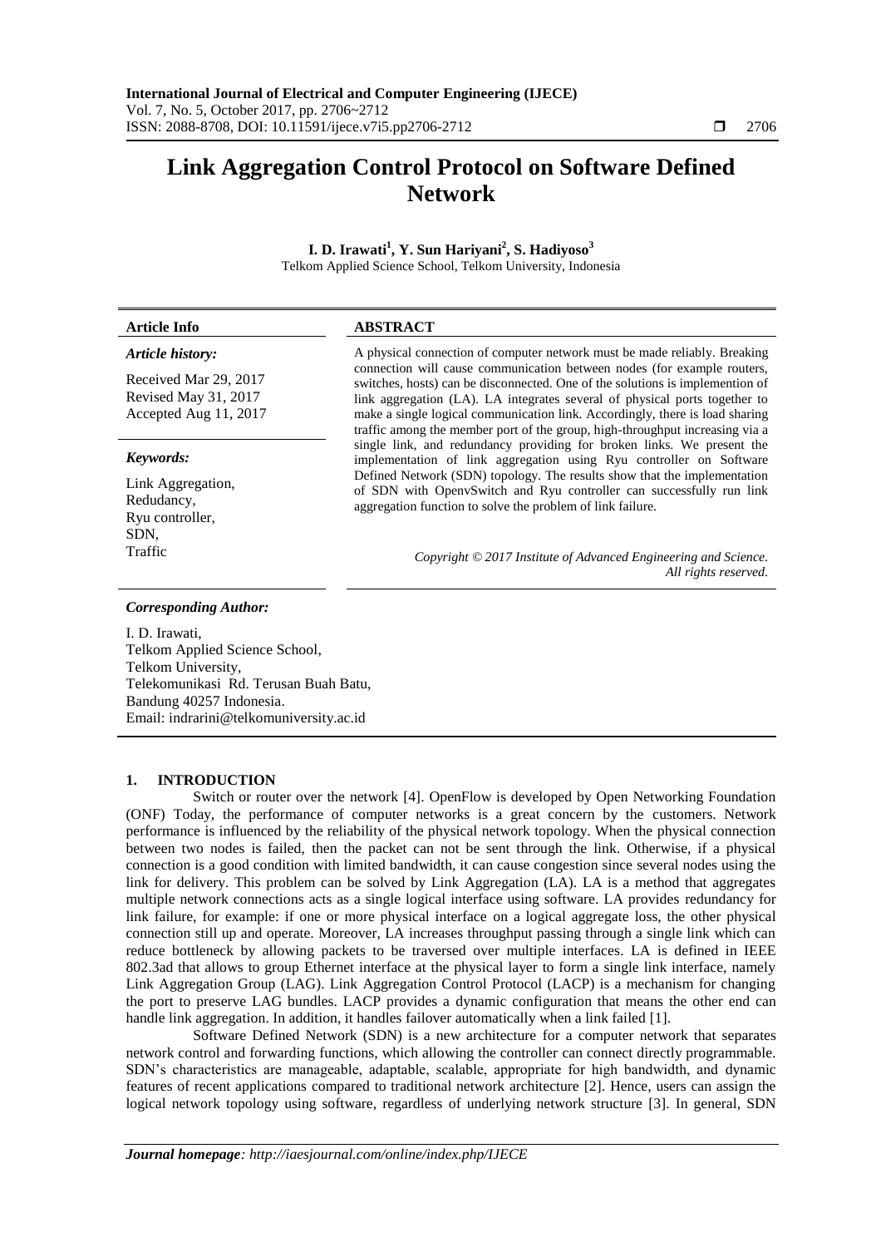# **Link Aggregation Control Protocol on Software Defined Network**

**I. D. Irawati<sup>1</sup> , Y. Sun Hariyani<sup>2</sup> , S. Hadiyoso<sup>3</sup>** Telkom Applied Science School, Telkom University, Indonesia

**Article Info ABSTRACT**  *Article history:* A physical connection of computer network must be made reliably. Breaking

Received Mar 29, 2017 Revised May 31, 2017 Accepted Aug 11, 2017

#### *Keywords:*

Link Aggregation, Redudancy, Ryu controller, SDN,

connection will cause communication between nodes (for example routers, switches, hosts) can be disconnected. One of the solutions is implemention of link aggregation (LA). LA integrates several of physical ports together to make a single logical communication link. Accordingly, there is load sharing traffic among the member port of the group, high-throughput increasing via a single link, and redundancy providing for broken links. We present the implementation of link aggregation using Ryu controller on Software Defined Network (SDN) topology. The results show that the implementation of SDN with OpenvSwitch and Ryu controller can successfully run link aggregation function to solve the problem of link failure.

Traffic *Copyright © 2017 Institute of Advanced Engineering and Science. All rights reserved.*

## *Corresponding Author:*

I. D. Irawati, Telkom Applied Science School, Telkom University, Telekomunikasi Rd. Terusan Buah Batu, Bandung 40257 Indonesia. Email: indrarini@telkomuniversity.ac.id

## **1. INTRODUCTION**

Switch or router over the network [4]. OpenFlow is developed by Open Networking Foundation (ONF) Today, the performance of computer networks is a great concern by the customers. Network performance is influenced by the reliability of the physical network topology. When the physical connection between two nodes is failed, then the packet can not be sent through the link. Otherwise, if a physical connection is a good condition with limited bandwidth, it can cause congestion since several nodes using the link for delivery. This problem can be solved by Link Aggregation (LA). LA is a method that aggregates multiple network connections acts as a single logical interface using software. LA provides redundancy for link failure, for example: if one or more physical interface on a logical aggregate loss, the other physical connection still up and operate. Moreover, LA increases throughput passing through a single link which can reduce bottleneck by allowing packets to be traversed over multiple interfaces. LA is defined in IEEE 802.3ad that allows to group Ethernet interface at the physical layer to form a single link interface, namely Link Aggregation Group (LAG). Link Aggregation Control Protocol (LACP) is a mechanism for changing the port to preserve LAG bundles. LACP provides a dynamic configuration that means the other end can handle link aggregation. In addition, it handles failover automatically when a link failed [1].

Software Defined Network (SDN) is a new architecture for a computer network that separates network control and forwarding functions, which allowing the controller can connect directly programmable. SDN's characteristics are manageable, adaptable, scalable, appropriate for high bandwidth, and dynamic features of recent applications compared to traditional network architecture [2]. Hence, users can assign the logical network topology using software, regardless of underlying network structure [3]. In general, SDN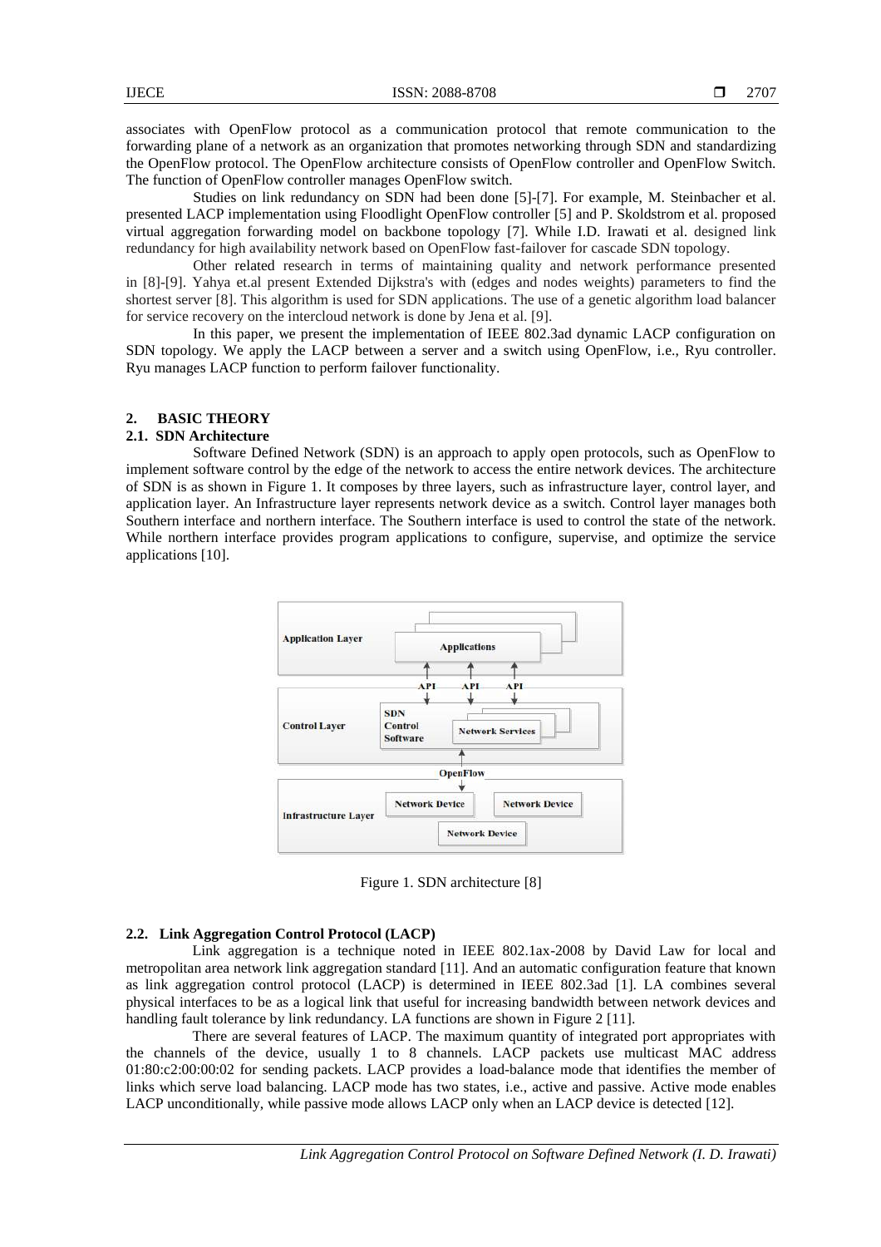associates with OpenFlow protocol as a communication protocol that remote communication to the forwarding plane of a network as an organization that promotes networking through SDN and standardizing the OpenFlow protocol. The OpenFlow architecture consists of OpenFlow controller and OpenFlow Switch. The function of OpenFlow controller manages OpenFlow switch.

Studies on link redundancy on SDN had been done [5]-[7]. For example, M. Steinbacher et al. presented LACP implementation using Floodlight OpenFlow controller [5] and P. Skoldstrom et al. proposed virtual aggregation forwarding model on backbone topology [7]. While I.D. Irawati et al. designed link redundancy for high availability network based on OpenFlow fast-failover for cascade SDN topology.

Other related research in terms of maintaining quality and network performance presented in [8]-[9]. Yahya et.al present Extended Dijkstra's with (edges and nodes weights) parameters to find the shortest server [8]. This algorithm is used for SDN applications. The use of a genetic algorithm load balancer for service recovery on the intercloud network is done by Jena et al. [9].

In this paper, we present the implementation of IEEE 802.3ad dynamic LACP configuration on SDN topology. We apply the LACP between a server and a switch using OpenFlow, i.e., Ryu controller. Ryu manages LACP function to perform failover functionality.

# **2. BASIC THEORY**

### **2.1. SDN Architecture**

Software Defined Network (SDN) is an approach to apply open protocols, such as OpenFlow to implement software control by the edge of the network to access the entire network devices. The architecture of SDN is as shown in Figure 1. It composes by three layers, such as infrastructure layer, control layer, and application layer. An Infrastructure layer represents network device as a switch. Control layer manages both Southern interface and northern interface. The Southern interface is used to control the state of the network. While northern interface provides program applications to configure, supervise, and optimize the service applications [10].



Figure 1. SDN architecture [8]

#### **2.2. Link Aggregation Control Protocol (LACP)**

Link aggregation is a technique noted in IEEE 802.1ax-2008 by David Law for local and metropolitan area network link aggregation standard [11]. And an automatic configuration feature that known as link aggregation control protocol (LACP) is determined in IEEE 802.3ad [1]. LA combines several physical interfaces to be as a logical link that useful for increasing bandwidth between network devices and handling fault tolerance by link redundancy. LA functions are shown in Figure 2 [11].

There are several features of LACP. The maximum quantity of integrated port appropriates with the channels of the device, usually 1 to 8 channels. LACP packets use multicast MAC address 01:80:c2:00:00:02 for sending packets. LACP provides a load-balance mode that identifies the member of links which serve load balancing. LACP mode has two states, i.e., active and passive. Active mode enables LACP unconditionally, while passive mode allows LACP only when an LACP device is detected [12].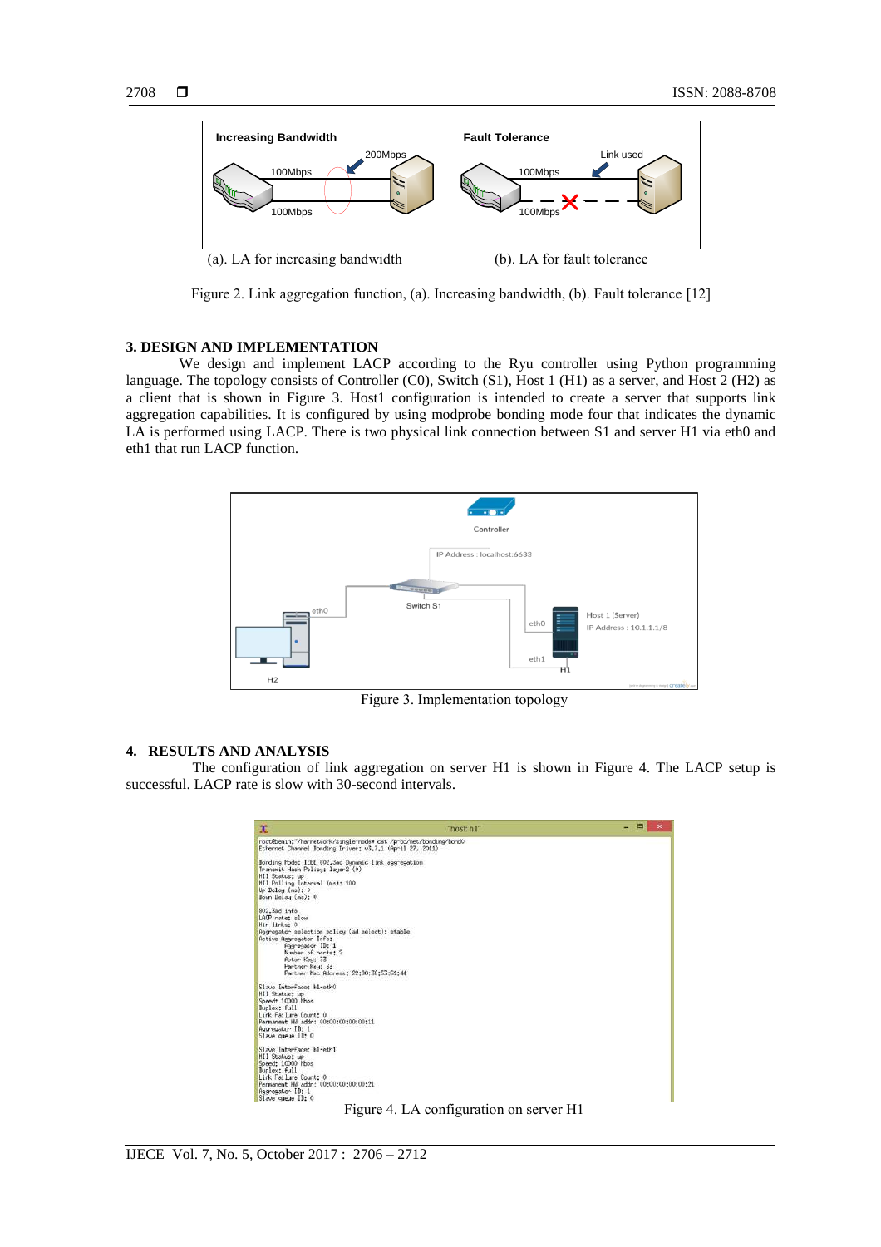

Figure 2. Link aggregation function, (a). Increasing bandwidth, (b). Fault tolerance [12]

# **3. DESIGN AND IMPLEMENTATION**

We design and implement LACP according to the Ryu controller using Python programming language. The topology consists of Controller (C0), Switch (S1), Host 1 (H1) as a server, and Host 2 (H2) as a client that is shown in Figure 3. Host1 configuration is intended to create a server that supports link aggregation capabilities. It is configured by using modprobe bonding mode four that indicates the dynamic LA is performed using LACP. There is two physical link connection between S1 and server H1 via eth0 and eth1 that run LACP function.



Figure 3. Implementation topology

## **4. RESULTS AND ANALYSIS**

The configuration of link aggregation on server H1 is shown in Figure 4. The LACP setup is successful. LACP rate is slow with 30-second intervals.

| x                                                                                                                                                                                                                                                     | "host: h1" | E<br>$\boldsymbol{\times}$ |
|-------------------------------------------------------------------------------------------------------------------------------------------------------------------------------------------------------------------------------------------------------|------------|----------------------------|
| root@benih:"/ha-network/single-node# cat /proc/net/bonding/bond0<br>Ethernet Channel Bonding Driver: v3.7.1 (April 27, 2011)                                                                                                                          |            |                            |
| Bonding Mode: IEEE 802,3ad Dynamic link aggregation<br>Transmit Hash Policy: layer2 (0)<br><b>MII Status: up</b><br>MII Polling Interval (As): 100<br>Up Delay (ms): 0<br>Down Delay (ms): 0                                                          |            |                            |
| 802.3ad info<br>LACP rate: slow<br>Hin links: 0<br>Aggregator selection policy (ad_select): stable<br>Active Asgregator Info:<br>Rogregator ID: 1<br>Number of ports: 2<br>Actor Key: 33<br>Partner Key: 33<br>Partner Nac Address: 22:90:38:53:61:44 |            |                            |
| Slave Interface: h1-eth0<br><b>MII Status: up</b><br>Speed: 10000 Nbps<br>Duplex: full<br>Link Failure Count: 0<br>Permanent HW addr: 00:00:00:00:00:11<br>Aggregator ID: 1<br>Slave queue IB: 0                                                      |            |                            |
| Slave Interface: hi-ethi<br><b>HII Status: up</b><br>Speed: 10000 Mbps<br>Buplex: full<br>Link Failure Count: 0<br>Permanent HW addr: 00:00:00:00:00:21<br>Regresstor ID: 1<br>Slave queue IB: 0                                                      |            |                            |

Figure 4. LA configuration on server H1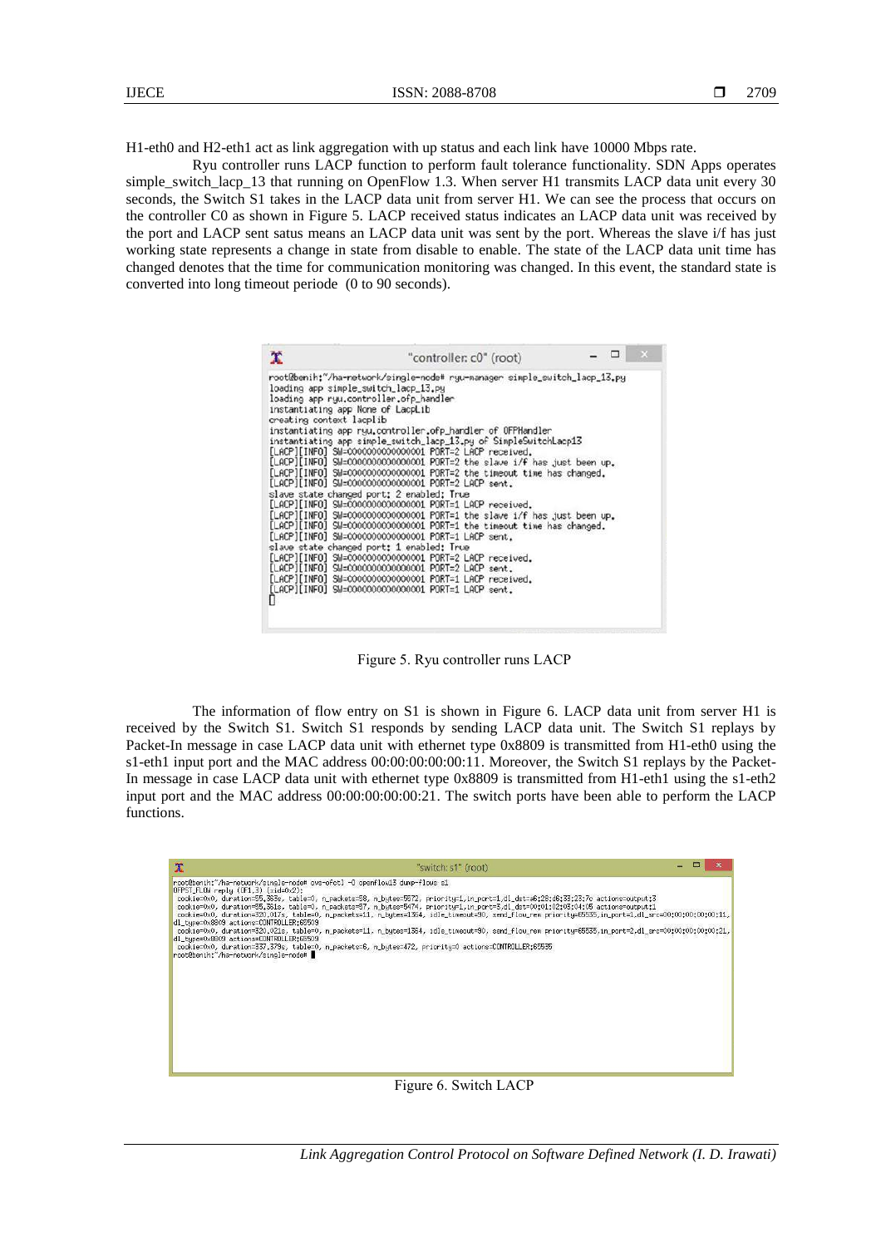H1-eth0 and H2-eth1 act as link aggregation with up status and each link have 10000 Mbps rate.

Ryu controller runs LACP function to perform fault tolerance functionality. SDN Apps operates simple switch lacp 13 that running on OpenFlow 1.3. When server H1 transmits LACP data unit every 30 seconds, the Switch S1 takes in the LACP data unit from server H1. We can see the process that occurs on the controller C0 as shown in Figure 5. LACP received status indicates an LACP data unit was received by the port and LACP sent satus means an LACP data unit was sent by the port. Whereas the slave i/f has just working state represents a change in state from disable to enable. The state of the LACP data unit time has changed denotes that the time for communication monitoring was changed. In this event, the standard state is converted into long timeout periode (0 to 90 seconds).

| x                                                                                                                                                    | "controller: c0" (root)                                                                                                                                                                                                                                                                                                                                                                                                                                                                                                                                                                                                                                                                                                                                                                                                                                                                                                                                                                                                                                                      |  |  |
|------------------------------------------------------------------------------------------------------------------------------------------------------|------------------------------------------------------------------------------------------------------------------------------------------------------------------------------------------------------------------------------------------------------------------------------------------------------------------------------------------------------------------------------------------------------------------------------------------------------------------------------------------------------------------------------------------------------------------------------------------------------------------------------------------------------------------------------------------------------------------------------------------------------------------------------------------------------------------------------------------------------------------------------------------------------------------------------------------------------------------------------------------------------------------------------------------------------------------------------|--|--|
| loading app simple_switch_lacp_13.py<br>loading app ryu.controller.ofp_handler<br>instantiating app None of LacpLib<br>creating context lacplib<br>П | root@benih:~/ha-network/single-node# ryu-manager simple_switch_lacp_13.py<br>instantiating app ryu.controller.ofp_handler of OFPHandler<br>instantiating app simple_switch_lacp_13.py of SimpleSwitchLacp13<br>[LACP][INFO] SM=0000000000000001 PORT=2 LACP received.<br>[LACP][INFO] SM=0000000000000001 PORT=2 the slave i/f has just been up.<br>[LACP][INFO] SW=0000000000000001 PORT=2 the timeout time has changed.<br>[LACP][INFO] SW=000000000000001 PORT=2 LACP sent.<br>slave state changed port: 2 enabled: True<br>[LACP][INFO] SM=0000000000000001 PORT=1 LACP received.<br>[LACP][INFO] SW=0000000000000001 PORT=1 the slave i/f has just been up.<br>[LACP][INFO] SW=0000000000000001 PORT=1 the timeout time has changed.<br>[LACP][INFO] SM=0000000000000001 PORT=1 LACP sent.<br>slave state changed port: 1 enabled: True<br>[LACP][INFO] SM=0000000000000001 PORT=2 LACP received.<br>[LACP][INFO] SM=0000000000000001 PORT=2 LACP sent.<br>[LACP][INFO] SW=0000000000000001 PORT=1 LACP received.<br>[LACP][INFO] SM=0000000000000001 PORT=1 LACP sent. |  |  |

Figure 5. Ryu controller runs LACP

The information of flow entry on S1 is shown in Figure 6. LACP data unit from server H1 is received by the Switch S1. Switch S1 responds by sending LACP data unit. The Switch S1 replays by Packet-In message in case LACP data unit with ethernet type 0x8809 is transmitted from H1-eth0 using the s1-eth1 input port and the MAC address 00:00:00:00:00:11. Moreover, the Switch S1 replays by the Packet-In message in case LACP data unit with ethernet type 0x8809 is transmitted from H1-eth1 using the s1-eth2 input port and the MAC address 00:00:00:00:00:21. The switch ports have been able to perform the LACP functions.

| $\mathbf x$                                                                                                                                                               | "switch: s1" (root)                                                                                                                                                                                                                                                                                                                                                                                                                                                                                                                                                                                                                                                                                                                                                                |  |  |
|---------------------------------------------------------------------------------------------------------------------------------------------------------------------------|------------------------------------------------------------------------------------------------------------------------------------------------------------------------------------------------------------------------------------------------------------------------------------------------------------------------------------------------------------------------------------------------------------------------------------------------------------------------------------------------------------------------------------------------------------------------------------------------------------------------------------------------------------------------------------------------------------------------------------------------------------------------------------|--|--|
| $0$ FPST_FLOW reply $(0F1,3)$ $(xid=0x2)$ :<br>dl tupe=0x8809 actions=CONTROLLER:65509<br>dl tupe=0x8809 actions=CONTROLLER:65509<br>root@benih:"/ha-network/single-node# | root@benih;"/ha-network/single-node# ovs-ofctl -0 openflow13 dump-flows s1<br>cookie=0x0, duration=55.363s, table=0, n_packets=58, n_bytes=5572, priority=1,in_port=1,dl_dst=a6;28;d6;33;23;7c actions=output;3<br>cookie=0x0, duration=55.361s, table=0, n_packets=57, n_bytes=5474, priority=1,in_port=3,dl_dst=00:01:02:03:04:05 actions=output:1<br>cookie=0x0, duration=320.017s, table=0, n_packets=11, n_butes=1364, idle_timeout=90, send_flow_rem_prioritu=65535,in_port=1,dl_src=00:00:00:00:00:11,<br>cookie=0x0, duration=320,021s, table=0, n_packets=11, n_bytes=1364, idle_timeout=90, send_flow_rem priority=65535,in_port=2,dl_src=00;00;00;00;00;00;21,<br>cookie=0x0, duration=337,379s, table=0, n_packets=6, n_butes=472, prioritu=0 actions=CONTROLLER:65535 |  |  |

Figure 6. Switch LACP

*Link Aggregation Control Protocol on Software Defined Network (I. D. Irawati)*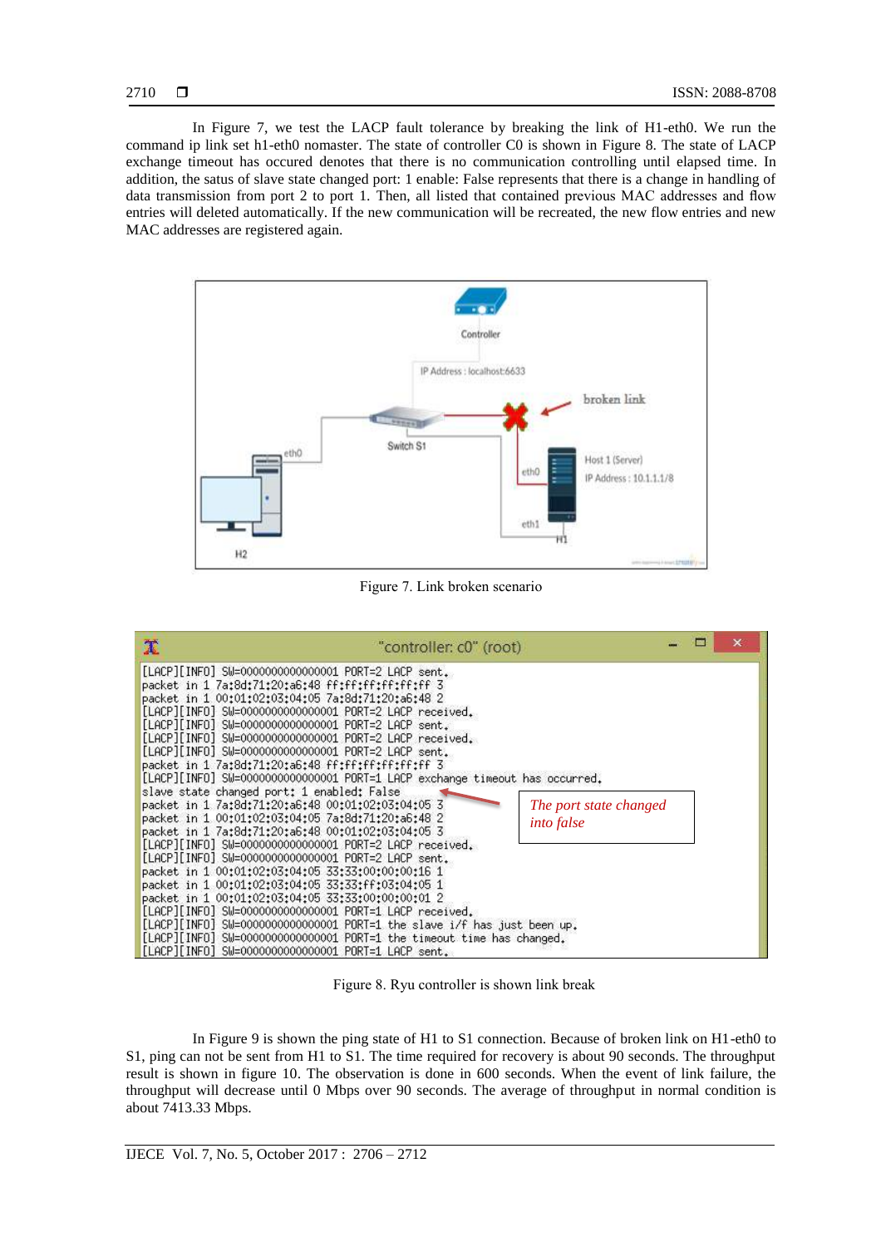In Figure 7, we test the LACP fault tolerance by breaking the link of H1-eth0. We run the command ip link set h1-eth0 nomaster. The state of controller C0 is shown in Figure 8. The state of LACP exchange timeout has occured denotes that there is no communication controlling until elapsed time. In addition, the satus of slave state changed port: 1 enable: False represents that there is a change in handling of data transmission from port 2 to port 1. Then, all listed that contained previous MAC addresses and flow entries will deleted automatically. If the new communication will be recreated, the new flow entries and new MAC addresses are registered again.



Figure 7. Link broken scenario

| [LACP][INFO] SW=0000000000000001 PORT=2 LACP sent.                                                                                                                                                                                                                                                                                                                                                                                                                                                                                                                                                                                                                                                                                                                                                                                                                                                                                                                                                                                                                                                                                                                                                                                                                                         | χ<br>"controller: c0" (root) |  | $\mathsf{x}$ |
|--------------------------------------------------------------------------------------------------------------------------------------------------------------------------------------------------------------------------------------------------------------------------------------------------------------------------------------------------------------------------------------------------------------------------------------------------------------------------------------------------------------------------------------------------------------------------------------------------------------------------------------------------------------------------------------------------------------------------------------------------------------------------------------------------------------------------------------------------------------------------------------------------------------------------------------------------------------------------------------------------------------------------------------------------------------------------------------------------------------------------------------------------------------------------------------------------------------------------------------------------------------------------------------------|------------------------------|--|--------------|
| packet in 1 7a:8d:71:20:a6:48 ff:ff:ff:ff:ff:ff:ff<br>packet in 1 00:01:02:03:04:05 7a:8d:71:20:a6:48 2<br>[LACP][INFO] SW=0000000000000001 PORT=2 LACP received.<br>[LACP][INFO] SW=000000000000001 PORT=2 LACP sent.<br>[LACP][INFO] SW=0000000000000001 PORT=2 LACP received.<br>[LACP][INFO] SW=0000000000000001 PORT=2 LACP sent.<br>packet in 1 7a:8d:71:20:a6:48 ff:ff:ff:ff:ff:ff:ff<br>[LACP][INFO] SW=0000000000000001 PORT=1 LACP exchange timeout has occurred.<br>slave state changed port: 1 enabled: False<br>packet in 1 7a:8d:71:20:a6:48 00:01:02:03:04:05 3<br>The port state changed<br>packet in 1 00:01:02:03:04:05 7a:8d:71:20:a6:48 2<br><i>into false</i><br>packet in 1 7a:8d:71:20:a6:48 00:01:02:03:04:05 3<br>[LACP][INFO] SW=0000000000000001 PORT=2 LACP received.<br>[LACP][INFO] SW=0000000000000001 PORT=2 LACP sent.<br>packet in 1 00:01:02:03:04:05 33:33:00:00:00:16 1<br>packet in 1 00:01:02:03:04:05 33:33:ff:03:04:05 1<br>packet in 1 00:01:02:03:04:05 33:33:00:00:00:01 2<br>[LACP][INFO] SW=0000000000000001 PORT=1 LACP received.<br>[LACP][INFO] SW=0000000000000001 PORT=1 the slave i/f has just been up.<br>[LACP][INFO] SW=0000000000000001 PORT=1 the timeout time has changed.<br>[LACP][INFO] SW=0000000000000001 PORT=1 LACP sent. |                              |  |              |

Figure 8. Ryu controller is shown link break

In Figure 9 is shown the ping state of H1 to S1 connection. Because of broken link on H1-eth0 to S1, ping can not be sent from H1 to S1. The time required for recovery is about 90 seconds. The throughput result is shown in figure 10. The observation is done in 600 seconds. When the event of link failure, the throughput will decrease until 0 Mbps over 90 seconds. The average of throughput in normal condition is about 7413.33 Mbps.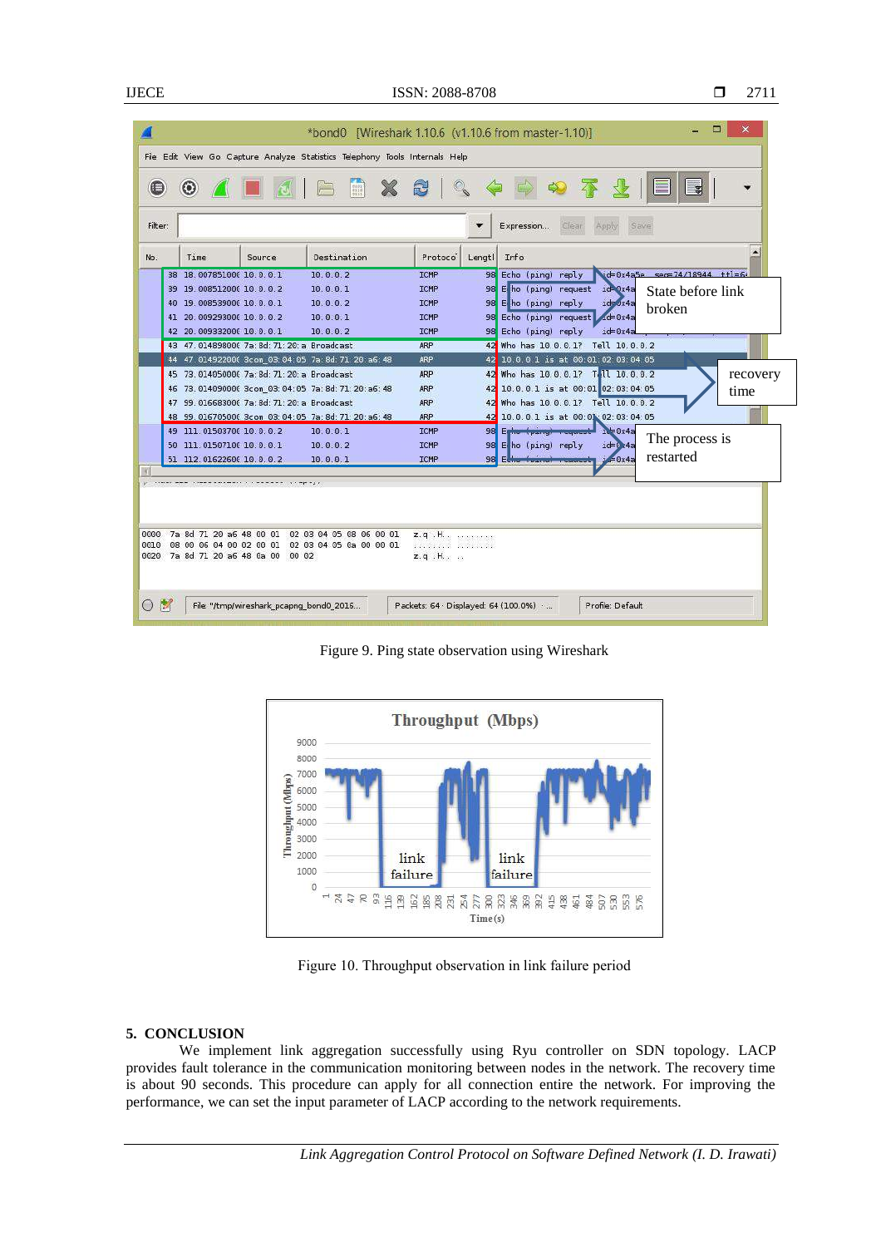|                                                                                                        | *bond0 [Wireshark 1.10.6 (v1.10.6 from master-1.10)]                                                 |  |  |  |
|--------------------------------------------------------------------------------------------------------|------------------------------------------------------------------------------------------------------|--|--|--|
| File Edit View Go Capture Analyze Statistics Telephony Tools Internals Help                            |                                                                                                      |  |  |  |
| <b>ABBX8Q</b>                                                                                          |                                                                                                      |  |  |  |
| Filter:<br>Expression<br>Clear <sup>1</sup><br><b>Save</b><br>Apply                                    |                                                                                                      |  |  |  |
| Destination<br>Time<br>No.<br>Source                                                                   | Info<br>Protoco<br>Lenatl                                                                            |  |  |  |
| 38 18.007851000 10.0.0.1<br>10.0.0.2                                                                   | $d = 0x4a5e$ sec=74/18944 ttl=6<br>98 Echo (ping) reply<br><b>ICMP</b>                               |  |  |  |
| 39 19 008512000 10 0 0 2<br>10.0.0.1                                                                   | 98 E ho (ping) request id 0x4a<br><b>ICNP</b><br>State before link                                   |  |  |  |
| 40 19 008539000 10 0 0 1<br>10.0.0.2                                                                   | $i$ d= $0x4a$<br><b>ICMP</b><br>98 E ho (ping) reply<br>broken                                       |  |  |  |
| 41 20 009293000 10 0 0 2<br>10.0.0.1<br>10002<br>42 20 009332000 10 0 0 1                              | 98 Echo (ping) request 4d=0x4a<br><b>ICMP</b><br>98 Echo (ping) reply<br><b>ICMP</b><br>$ict = 0x4a$ |  |  |  |
| 43 47.014898000 7a: 8d: 71: 20: a Broadcast                                                            | 42 Who has 10.0.0.1? Tell 10.0.0.2<br>ARP                                                            |  |  |  |
| 44 47.014922000 3com 03:04:05 7a:8d:71:20:a6:48                                                        | 42 10 0.0.1 is at 00:01:02:03:04:05<br><b>ARP</b>                                                    |  |  |  |
| 45 73.014050000 7a: 8d: 71: 20: a Broadcast                                                            | 42 Who has 10.0.0.1? T. 11 10.0.0.2<br>recovery<br><b>ARP</b>                                        |  |  |  |
| 46 73.014090000 3com 03:04:05 7a:8d:71:20:a6:48                                                        | 42 10.0.0.1 is at 00:01 02:03:04:05<br><b>ARP</b><br>time                                            |  |  |  |
| 47 99 016683000 7a: 8d: 71: 20: a Broadcast                                                            | 42 Who has 10.0.0.1? Tell 10.0.0.2<br><b>ARP</b>                                                     |  |  |  |
| 48 99.016705000 3com 03:04:05 7a:8d:71:20:a6:48                                                        | ARP<br>42 10.0.0.1 is at 00:01 02:03:04:05                                                           |  |  |  |
| 49 111 01503700 10.0.0.2<br>10.0.0.1                                                                   | <b>ICMP</b><br>98 Egine (pang)<br>The process is                                                     |  |  |  |
| 50 111 01507100 10 0 0 1<br>10.0.0.2                                                                   | ICMP<br>$i$ d=0 $\overline{x}$ 4a<br>98 E ho (ping) reply                                            |  |  |  |
| 51 112.01622600 10.0.0.2<br>10.0.0.1                                                                   | restarted<br><b>ICMP</b><br>$1 = 0 \times 4a$<br>98 Echo <b>Transferred Teams</b>                    |  |  |  |
|                                                                                                        |                                                                                                      |  |  |  |
|                                                                                                        |                                                                                                      |  |  |  |
| 7a 8d 71 20 a6 48 00 01<br>02 03 04 05 08 06 00 01<br>0000                                             | $z$ , q. H., $\ldots$                                                                                |  |  |  |
| 0010<br>08 00 06 04 00 02 00 01<br>02 03 04 05 0a 00 00 01<br>7a 8d 71 20 a6 48 0a 00<br>0020<br>00 02 | $z$ , q. H., $\ldots$                                                                                |  |  |  |
|                                                                                                        |                                                                                                      |  |  |  |
|                                                                                                        |                                                                                                      |  |  |  |
|                                                                                                        |                                                                                                      |  |  |  |
| <b>I</b><br>File: "/tmp/wireshark pcapng bond0 2016<br>(                                               | Packets: 64 Displayed: 64 (100.0%)<br>Profile: Default                                               |  |  |  |
|                                                                                                        |                                                                                                      |  |  |  |

Figure 9. Ping state observation using Wireshark



Figure 10. Throughput observation in link failure period

# **5. CONCLUSION**

We implement link aggregation successfully using Ryu controller on SDN topology. LACP provides fault tolerance in the communication monitoring between nodes in the network. The recovery time is about 90 seconds. This procedure can apply for all connection entire the network. For improving the performance, we can set the input parameter of LACP according to the network requirements.